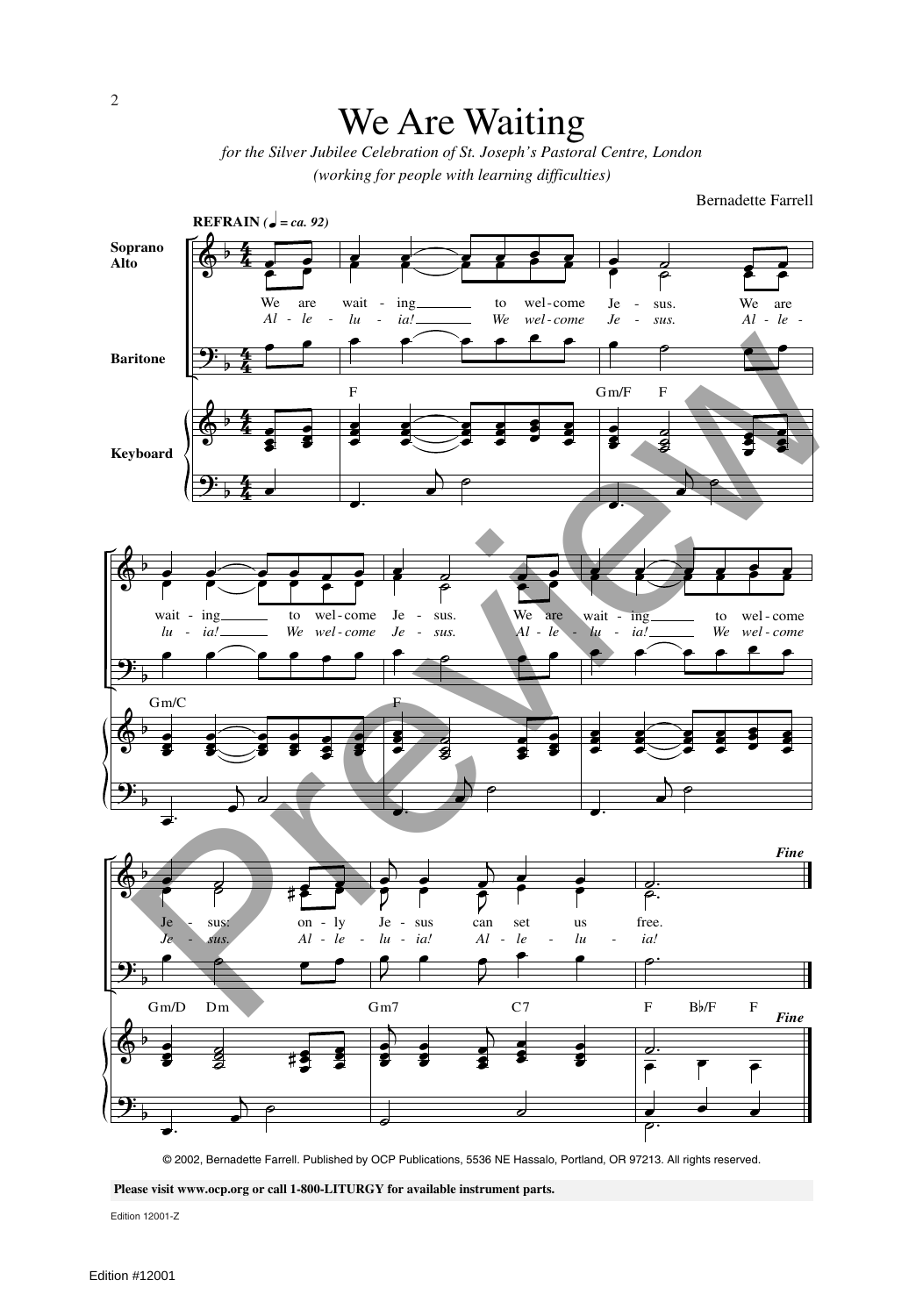## We Are Waiting

*for the Silver Jubilee Celebration of St. Joseph's Pastoral Centre, London (working for people with learning difficulties)*

Bernadette Farrell



**Please visit www.ocp.org or call 1-800-LITURGY for available instrument parts.**

Edition 12001-Z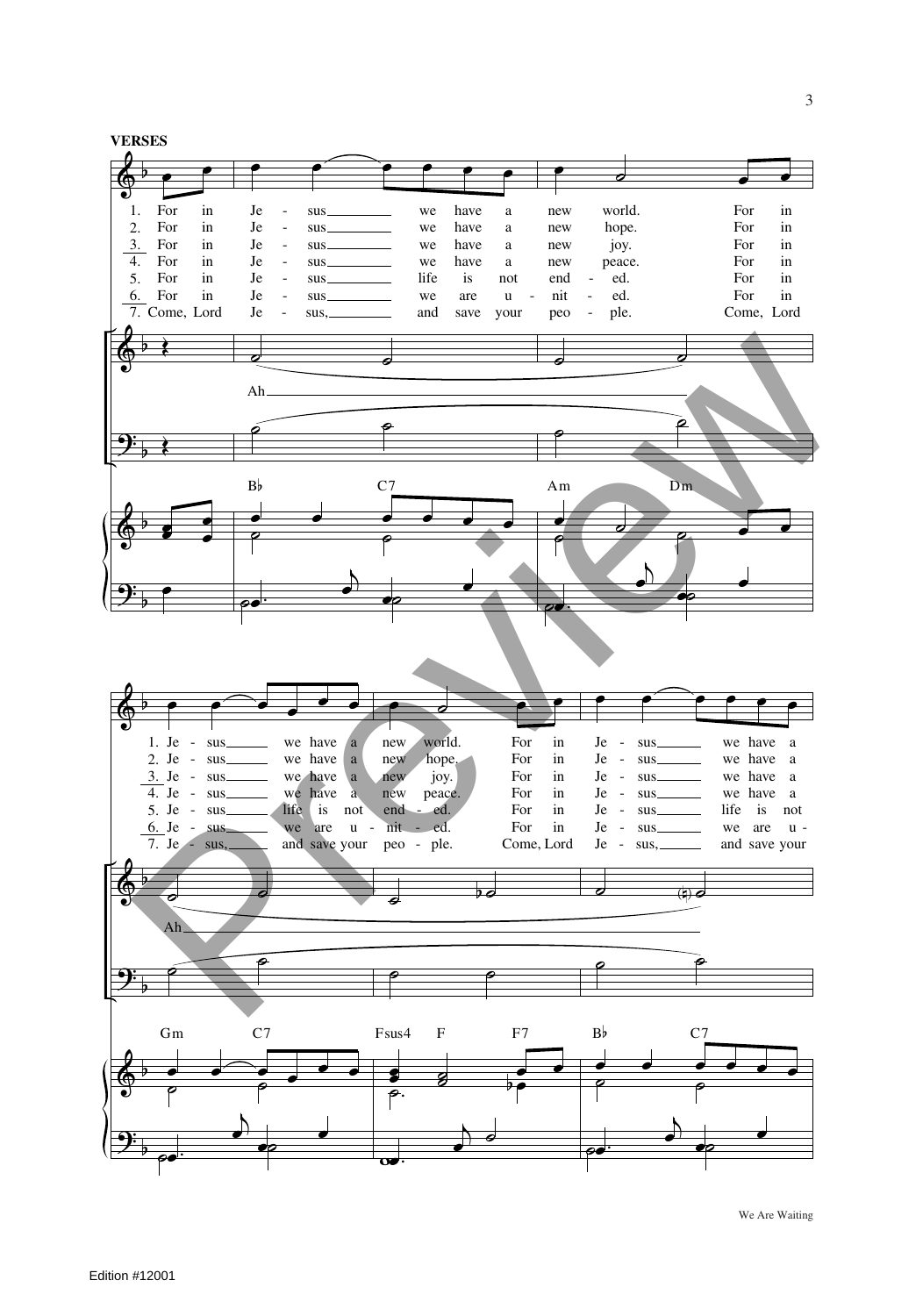$\sum_{1}$ &  $\mathcal{L}$ &  $\mathcal{L}$  $\overline{a}$  $\frac{1}{2}$  $\overline{ }$  $\overline{ }$  $\overline{ }$ **VERSES** 2. 3.  $\frac{1}{4}$ . 5. 6. 7. Come, Lord  $\overline{\phantom{a}}$ For For For For For For in in in in in in Œ Œ **z**  $\overline{\phantom{a}}$ œ œ œ <mark>œ œ œ œ œ</mark>  $Je$ Je - Je - Je - Je - Je -  $Je$ sus sus sus sus sus sus sus, we we we we life we and have have have have is are save a a a a not  $\mathbf{u}$ your  $\overline{\phantom{a}}$ Ah  $\overline{\phantom{a}}$  $\overline{\mathbf{e}}$  $\begin{array}{ccc}\n\mathbf{B} & \mathbf{C} & \mathbf{C} \\
\mathbf{C} & \mathbf{C} & \mathbf{C} \\
\mathbf{C} & \mathbf{C} & \mathbf{C} \\
\mathbf{C} & \mathbf{C} & \mathbf{C} \\
\mathbf{C} & \mathbf{C} & \mathbf{C} \\
\mathbf{C} & \mathbf{C} & \mathbf{C} \\
\mathbf{C} & \mathbf{C} & \mathbf{C} \\
\mathbf{C} & \mathbf{C} & \mathbf{C} \\
\mathbf{C} & \mathbf{C} & \mathbf{C} \\
\mathbf{C} & \mathbf{C} & \mathbf{C} \\
\math$  $\bullet$ .  $\overrightarrow{e}$   $\overrightarrow{e}$ œ ˙ œ œ new new new new end nit peo world. hope. joy. peace. ed. ed. ple. For For For For For For Come, Lord in in in in in in  $\overline{\phantom{a}}$  $\overline{\phantom{a}}$  $e$   $\overrightarrow{e}$   $\overrightarrow{e}$   $\overrightarrow{e}$ Am  $\sim$   $\sim$ Dm œ.  $\frac{D}{2}$ œ e & &  $\frac{y}{2}$ &  $\frac{1}{2}$  $\overline{ }$  $\overline{ }$  $\overline{ }$  $\overline{ }$ 1. Je - sus 2. Je - sus 3. Je - sus 4. Je - 5. Je - 6. Je - 7. Je œ œ œ œ œ œ sus sus sus - sus. we have we have a we have we have a life is not we are u and save your a a  $\overline{\phantom{a}}$ Ah  $\sum_{i=1}^{n}$ <u>。。。。。</u><br>。 Gm C7  $\sim$   $\sim$   $\sim$  $\Box$ e comment comment of comment of comment of comment of comment of comment of comment of comment of comment of co<br>
and the comment of comment of comment of comment of comment of comment of comment of comment of comment of c œ ˙ œ œ new new new new end nit peo - ple. world. hope. joy. peace. ed. ed. For For For For For For Come, Lord in in in in in in  $\theta$   $\theta$  $\sim$   $\sim$ ම<br>අ.<br>1  $\frac{1}{2}$ Fsus4 F F7  $\overline{\phantom{a}}$  $\frac{1}{2}$  $\frac{e^{1}}{1}$ œ œ œ œ œ œ Je -  $Je$ Je - Je - Je - Je - Je sus sus sus sus sus sus sus, we have we have we have a we have a life is not we are u and save your a a  $\begin{picture}(180,170) \put(100,170){\makebox(0,0){$b$}} \put(100,170){\makebox(0,0){$b$}} \put(100,170){\makebox(0,0){$b$}} \put(100,170){\makebox(0,0){$b$}} \put(100,170){\makebox(0,0){$b$}} \put(100,170){\makebox(0,0){$b$}} \put(100,170){\makebox(0,0){$b$}} \put(100,170){\makebox(0,0){$b$}} \put(100,170){\makebox(0,0){$b$}}$  $\overline{\phantom{a}}$  $\begin{array}{ccccc}\n\bullet & \bullet & \bullet & \bullet & \bullet \\
\bullet & & \bullet & & \bullet\n\end{array}$  $\begin{array}{ccc} \mathbf{B} \flat & \mathbf{C} \mathbf{7} \\ \downarrow & \downarrow & \end{array}$  $\bullet$ .  $\overrightarrow{e}$   $\overrightarrow{e}$ **Preview of the second control of the second control of the second control of the second control of the second control of the second control of the second control of the second control of the second control of the second** 

œ.

 $\overline{ }$ 

œ.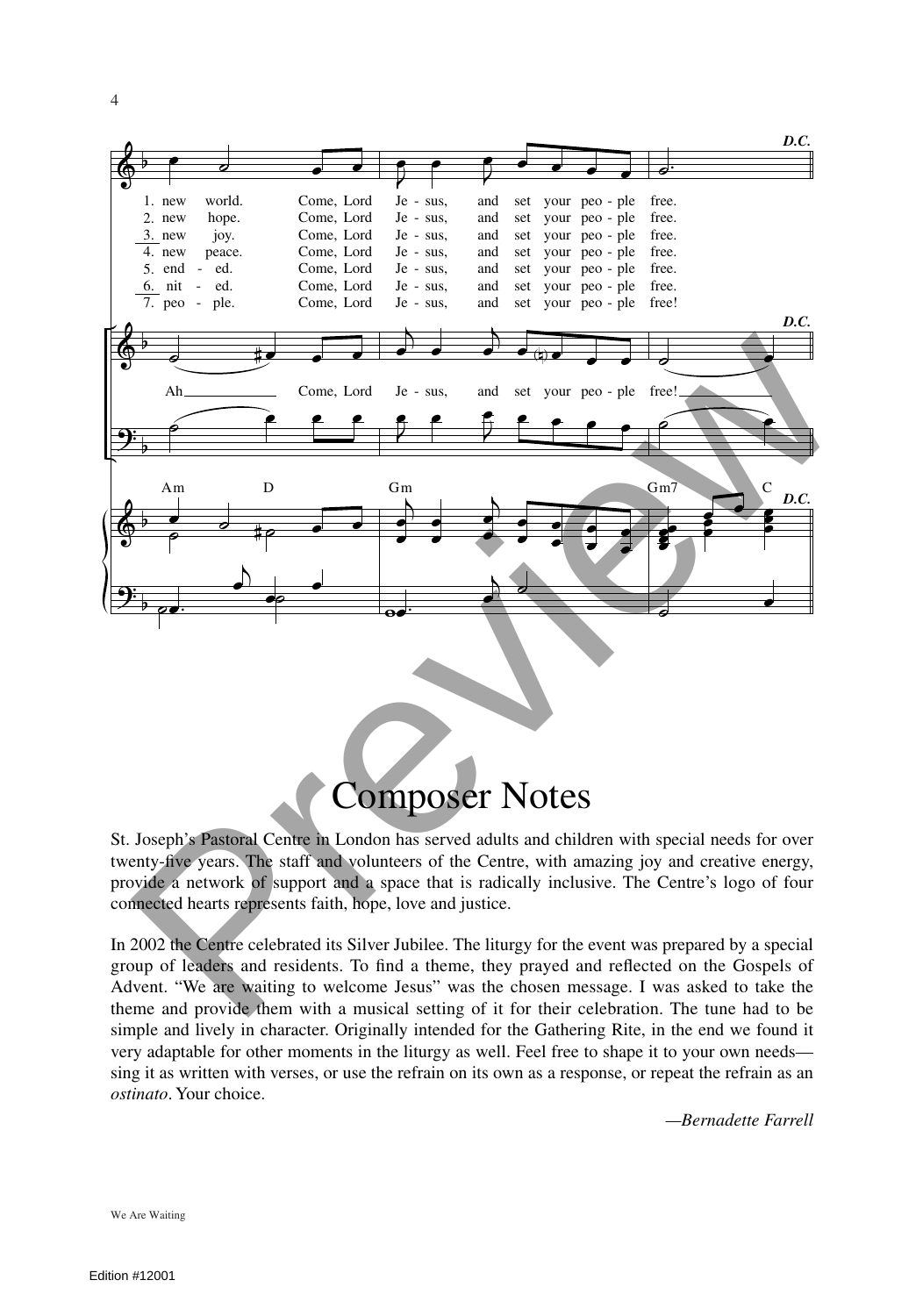

## Composer Notes

St. Joseph's Pastoral Centre in London has served adults and children with special needs for over twenty-five years. The staff and volunteers of the Centre, with amazing joy and creative energy, provide a network of support and a space that is radically inclusive. The Centre's logo of four connected hearts represents faith, hope, love and justice.

In 2002 the Centre celebrated its Silver Jubilee. The liturgy for the event was prepared by a special group of leaders and residents. To find a theme, they prayed and reflected on the Gospels of Advent. "We are waiting to welcome Jesus" was the chosen message. I was asked to take the theme and provide them with a musical setting of it for their celebration. The tune had to be simple and lively in character. Originally intended for the Gathering Rite, in the end we found it very adaptable for other moments in the liturgy as well. Feel free to shape it to your own needs sing it as written with verses, or use the refrain on its own as a response, or repeat the refrain as an *ostinato*. Your choice.

*—Bernadette Farrell*

We Are Waiting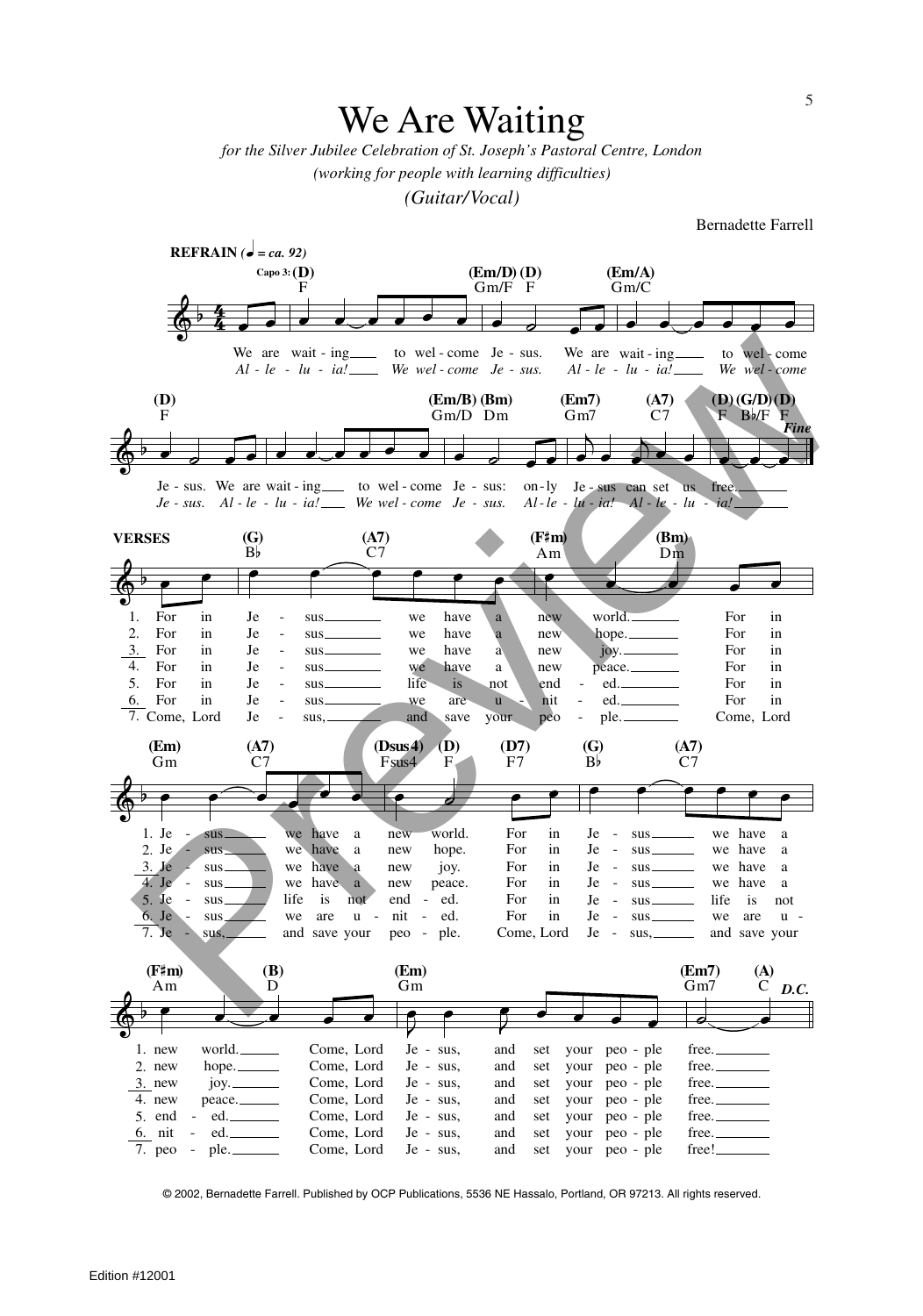## We Are Waiting

*for the Silver Jubilee Celebration of St. Joseph's Pastoral Centre, London (working for people with learning difficulties)*

*(Guitar/Vocal)*

Bernadette Farrell



© 2002, Bernadette Farrell. Published by OCP Publications, 5536 NE Hassalo, Portland, OR 97213. All rights reserved.